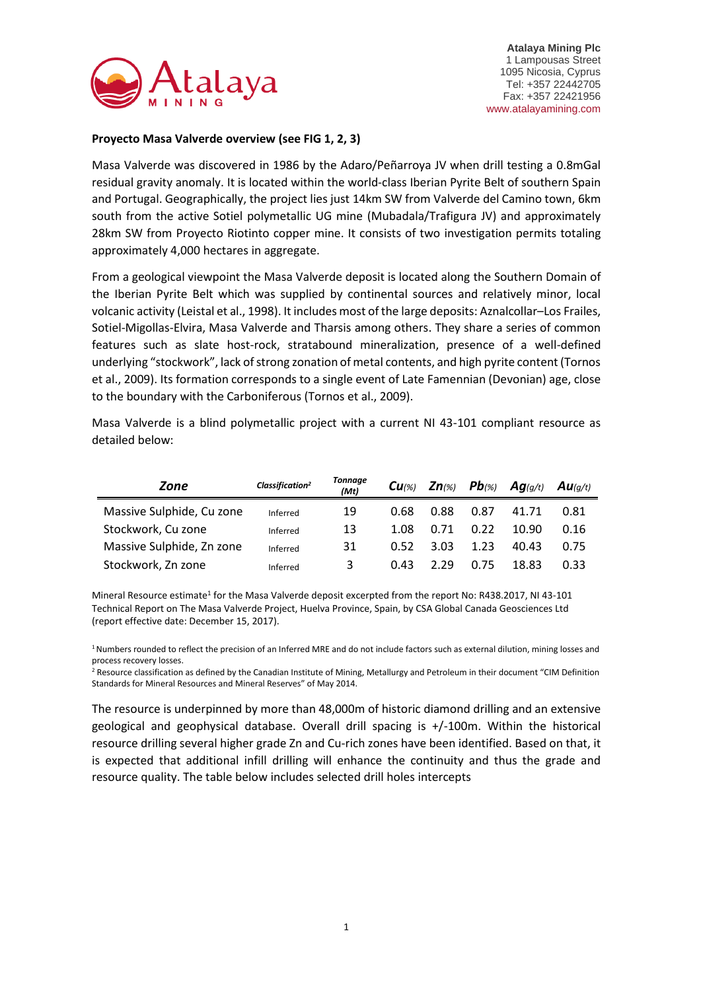

## **Proyecto Masa Valverde overview (see FIG 1, 2, 3)**

Masa Valverde was discovered in 1986 by the Adaro/Peñarroya JV when drill testing a 0.8mGal residual gravity anomaly. It is located within the world-class Iberian Pyrite Belt of southern Spain and Portugal. Geographically, the project lies just 14km SW from Valverde del Camino town, 6km south from the active Sotiel polymetallic UG mine (Mubadala/Trafigura JV) and approximately 28km SW from Proyecto Riotinto copper mine. It consists of two investigation permits totaling approximately 4,000 hectares in aggregate.

From a geological viewpoint the Masa Valverde deposit is located along the Southern Domain of the Iberian Pyrite Belt which was supplied by continental sources and relatively minor, local volcanic activity (Leistal et al., 1998). It includes most of the large deposits: Aznalcollar–Los Frailes, Sotiel-Migollas-Elvira, Masa Valverde and Tharsis among others. They share a series of common features such as slate host-rock, stratabound mineralization, presence of a well-defined underlying "stockwork", lack of strong zonation of metal contents, and high pyrite content (Tornos et al., 2009). Its formation corresponds to a single event of Late Famennian (Devonian) age, close to the boundary with the Carboniferous (Tornos et al., 2009).

Masa Valverde is a blind polymetallic project with a current NI 43-101 compliant resource as detailed below:

| Zone                      | Classification <sup>2</sup> | <b>Tonnage</b><br>(Mt) | $Cu_{\%}$ | $Zn$ (%) $Pb$ (%) |      | $Ag_{(g/t)}$ | Au(g/t) |
|---------------------------|-----------------------------|------------------------|-----------|-------------------|------|--------------|---------|
| Massive Sulphide, Cu zone | Inferred                    | 19                     | 0.68      | 0.88              | 0.87 | 41.71        | 0.81    |
| Stockwork, Cu zone        | Inferred                    | 13                     | 1.08      | 0.71              | 0.22 | 10.90        | 0.16    |
| Massive Sulphide, Zn zone | Inferred                    | 31                     | 0.52      | 3.03              | 1.23 | 40.43        | 0.75    |
| Stockwork, Zn zone        | Inferred                    | 3                      | 0.43      | 2.29              | 0.75 | 18.83        | 0.33    |

Mineral Resource estimate<sup>1</sup> for the Masa Valverde deposit excerpted from the report No: R438.2017, NI 43-101 Technical Report on The Masa Valverde Project, Huelva Province, Spain, by CSA Global Canada Geosciences Ltd (report effective date: December 15, 2017).

<sup>1</sup> Numbers rounded to reflect the precision of an Inferred MRE and do not include factors such as external dilution, mining losses and process recovery losses.

<sup>2</sup> Resource classification as defined by the Canadian Institute of Mining, Metallurgy and Petroleum in their document "CIM Definition Standards for Mineral Resources and Mineral Reserves" of May 2014.

The resource is underpinned by more than 48,000m of historic diamond drilling and an extensive geological and geophysical database. Overall drill spacing is +/-100m. Within the historical resource drilling several higher grade Zn and Cu-rich zones have been identified. Based on that, it is expected that additional infill drilling will enhance the continuity and thus the grade and resource quality. The table below includes selected drill holes intercepts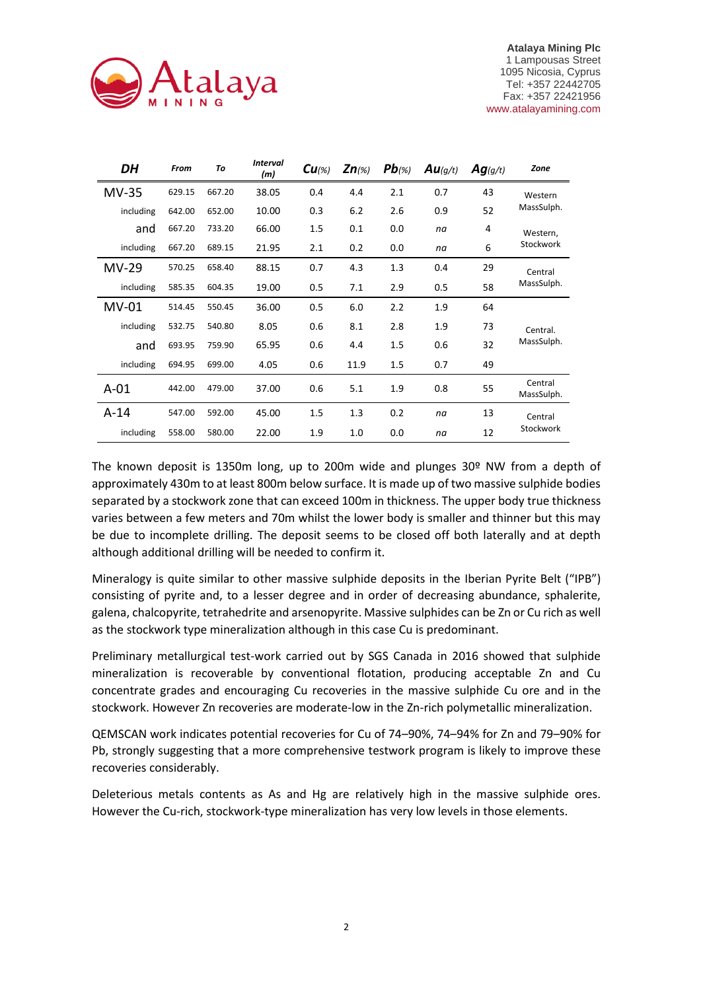

| DH        | From   | To     | <b>Interval</b><br>(m) | $Cu_{\%}$ | $Zn(\%)$ | $Pb(\%)$ | Au(g/t) | Ag(g/t) | Zone                  |
|-----------|--------|--------|------------------------|-----------|----------|----------|---------|---------|-----------------------|
| $MV-35$   | 629.15 | 667.20 | 38.05                  | 0.4       | 4.4      | 2.1      | 0.7     | 43      | Western               |
| including | 642.00 | 652.00 | 10.00                  | 0.3       | 6.2      | 2.6      | 0.9     | 52      | MassSulph.            |
| and       | 667.20 | 733.20 | 66.00                  | 1.5       | 0.1      | 0.0      | na      | 4       | Western,              |
| including | 667.20 | 689.15 | 21.95                  | 2.1       | 0.2      | 0.0      | na      | 6       | Stockwork             |
| MV-29     | 570.25 | 658.40 | 88.15                  | 0.7       | 4.3      | 1.3      | 0.4     | 29      | Central               |
| including | 585.35 | 604.35 | 19.00                  | 0.5       | 7.1      | 2.9      | 0.5     | 58      | MassSulph.            |
| MV-01     | 514.45 | 550.45 | 36.00                  | 0.5       | 6.0      | 2.2      | 1.9     | 64      |                       |
| including | 532.75 | 540.80 | 8.05                   | 0.6       | 8.1      | 2.8      | 1.9     | 73      | Central.              |
| and       | 693.95 | 759.90 | 65.95                  | 0.6       | 4.4      | 1.5      | 0.6     | 32      | MassSulph.            |
| including | 694.95 | 699.00 | 4.05                   | 0.6       | 11.9     | $1.5\,$  | 0.7     | 49      |                       |
| $A-01$    | 442.00 | 479.00 | 37.00                  | 0.6       | 5.1      | 1.9      | 0.8     | 55      | Central<br>MassSulph. |
| $A-14$    | 547.00 | 592.00 | 45.00                  | 1.5       | 1.3      | 0.2      | na      | 13      | Central               |
| including | 558.00 | 580.00 | 22.00                  | 1.9       | 1.0      | 0.0      | na      | 12      | Stockwork             |

The known deposit is 1350m long, up to 200m wide and plunges 30º NW from a depth of approximately 430m to at least 800m below surface. It is made up of two massive sulphide bodies separated by a stockwork zone that can exceed 100m in thickness. The upper body true thickness varies between a few meters and 70m whilst the lower body is smaller and thinner but this may be due to incomplete drilling. The deposit seems to be closed off both laterally and at depth although additional drilling will be needed to confirm it.

Mineralogy is quite similar to other massive sulphide deposits in the Iberian Pyrite Belt ("IPB") consisting of pyrite and, to a lesser degree and in order of decreasing abundance, sphalerite, galena, chalcopyrite, tetrahedrite and arsenopyrite. Massive sulphides can be Zn or Cu rich as well as the stockwork type mineralization although in this case Cu is predominant.

Preliminary metallurgical test-work carried out by SGS Canada in 2016 showed that sulphide mineralization is recoverable by conventional flotation, producing acceptable Zn and Cu concentrate grades and encouraging Cu recoveries in the massive sulphide Cu ore and in the stockwork. However Zn recoveries are moderate-low in the Zn-rich polymetallic mineralization.

QEMSCAN work indicates potential recoveries for Cu of 74–90%, 74–94% for Zn and 79–90% for Pb, strongly suggesting that a more comprehensive testwork program is likely to improve these recoveries considerably.

Deleterious metals contents as As and Hg are relatively high in the massive sulphide ores. However the Cu-rich, stockwork-type mineralization has very low levels in those elements.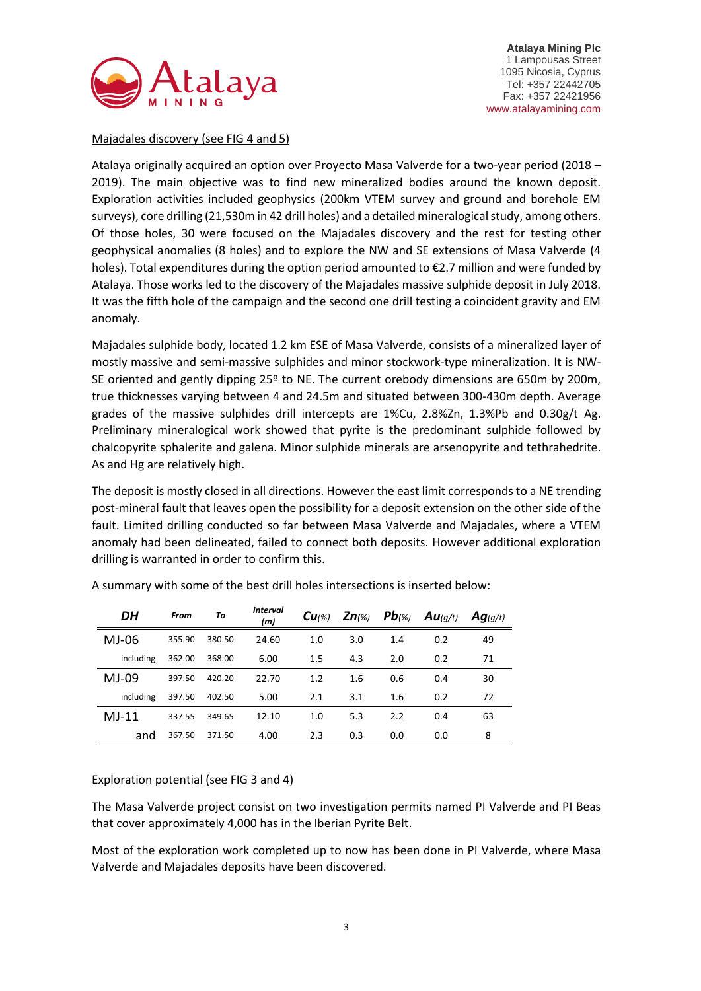

### Majadales discovery (see FIG 4 and 5)

Atalaya originally acquired an option over Proyecto Masa Valverde for a two-year period (2018 – 2019). The main objective was to find new mineralized bodies around the known deposit. Exploration activities included geophysics (200km VTEM survey and ground and borehole EM surveys), core drilling (21,530m in 42 drill holes) and a detailed mineralogical study, among others. Of those holes, 30 were focused on the Majadales discovery and the rest for testing other geophysical anomalies (8 holes) and to explore the NW and SE extensions of Masa Valverde (4 holes). Total expenditures during the option period amounted to €2.7 million and were funded by Atalaya. Those works led to the discovery of the Majadales massive sulphide deposit in July 2018. It was the fifth hole of the campaign and the second one drill testing a coincident gravity and EM anomaly.

Majadales sulphide body, located 1.2 km ESE of Masa Valverde, consists of a mineralized layer of mostly massive and semi-massive sulphides and minor stockwork-type mineralization. It is NW-SE oriented and gently dipping 25º to NE. The current orebody dimensions are 650m by 200m, true thicknesses varying between 4 and 24.5m and situated between 300-430m depth. Average grades of the massive sulphides drill intercepts are 1%Cu, 2.8%Zn, 1.3%Pb and 0.30g/t Ag. Preliminary mineralogical work showed that pyrite is the predominant sulphide followed by chalcopyrite sphalerite and galena. Minor sulphide minerals are arsenopyrite and tethrahedrite. As and Hg are relatively high.

The deposit is mostly closed in all directions. However the east limit corresponds to a NE trending post-mineral fault that leaves open the possibility for a deposit extension on the other side of the fault. Limited drilling conducted so far between Masa Valverde and Majadales, where a VTEM anomaly had been delineated, failed to connect both deposits. However additional exploration drilling is warranted in order to confirm this.

| DH        | From   | To     | <b>Interval</b><br>(m) | $Cu_{\%}$ | $Zn(\%)$ | $Pb$ (%) | $Au$ (q/t) | Ag(g/t) |
|-----------|--------|--------|------------------------|-----------|----------|----------|------------|---------|
| MJ-06     | 355.90 | 380.50 | 24.60                  | 1.0       | 3.0      | 1.4      | 0.2        | 49      |
| including | 362.00 | 368.00 | 6.00                   | 1.5       | 4.3      | 2.0      | 0.2        | 71      |
| $MJ-09$   | 397.50 | 420.20 | 22.70                  | 1.2       | 1.6      | 0.6      | 0.4        | 30      |
| including | 397.50 | 402.50 | 5.00                   | 2.1       | 3.1      | 1.6      | 0.2        | 72      |
| $MJ-11$   | 337.55 | 349.65 | 12.10                  | 1.0       | 5.3      | 2.2      | 0.4        | 63      |
| and       | 367.50 | 371.50 | 4.00                   | 2.3       | 0.3      | 0.0      | 0.0        | 8       |

A summary with some of the best drill holes intersections is inserted below:

# Exploration potential (see FIG 3 and 4)

The Masa Valverde project consist on two investigation permits named PI Valverde and PI Beas that cover approximately 4,000 has in the Iberian Pyrite Belt.

Most of the exploration work completed up to now has been done in PI Valverde, where Masa Valverde and Majadales deposits have been discovered.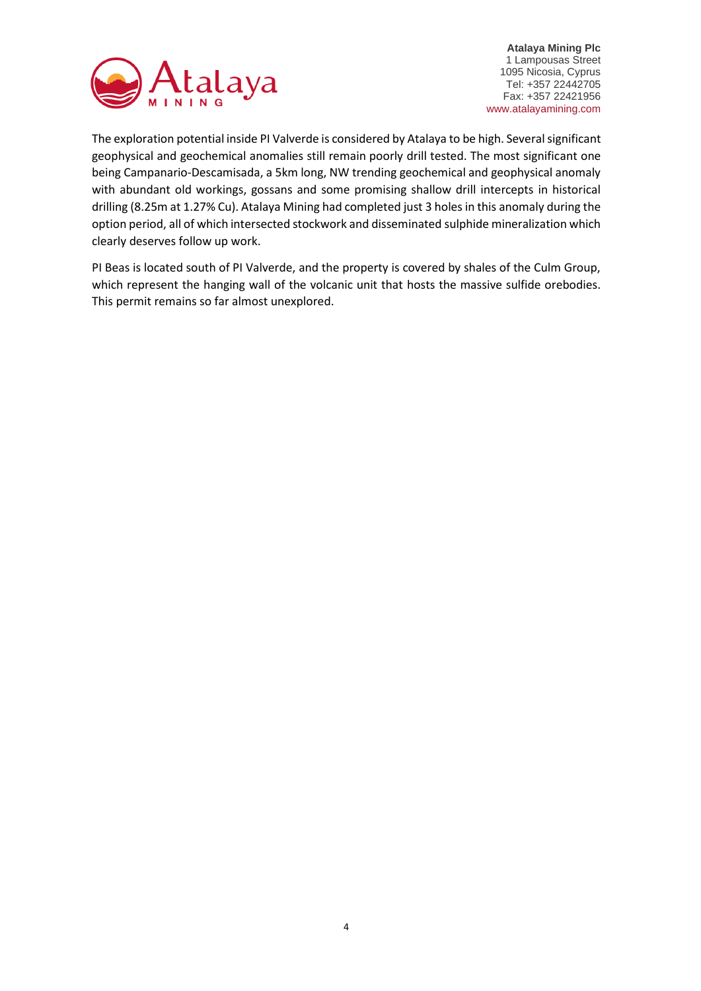

The exploration potential inside PI Valverde is considered by Atalaya to be high. Several significant geophysical and geochemical anomalies still remain poorly drill tested. The most significant one being Campanario-Descamisada, a 5km long, NW trending geochemical and geophysical anomaly with abundant old workings, gossans and some promising shallow drill intercepts in historical drilling (8.25m at 1.27% Cu). Atalaya Mining had completed just 3 holes in this anomaly during the option period, all of which intersected stockwork and disseminated sulphide mineralization which clearly deserves follow up work.

PI Beas is located south of PI Valverde, and the property is covered by shales of the Culm Group, which represent the hanging wall of the volcanic unit that hosts the massive sulfide orebodies. This permit remains so far almost unexplored.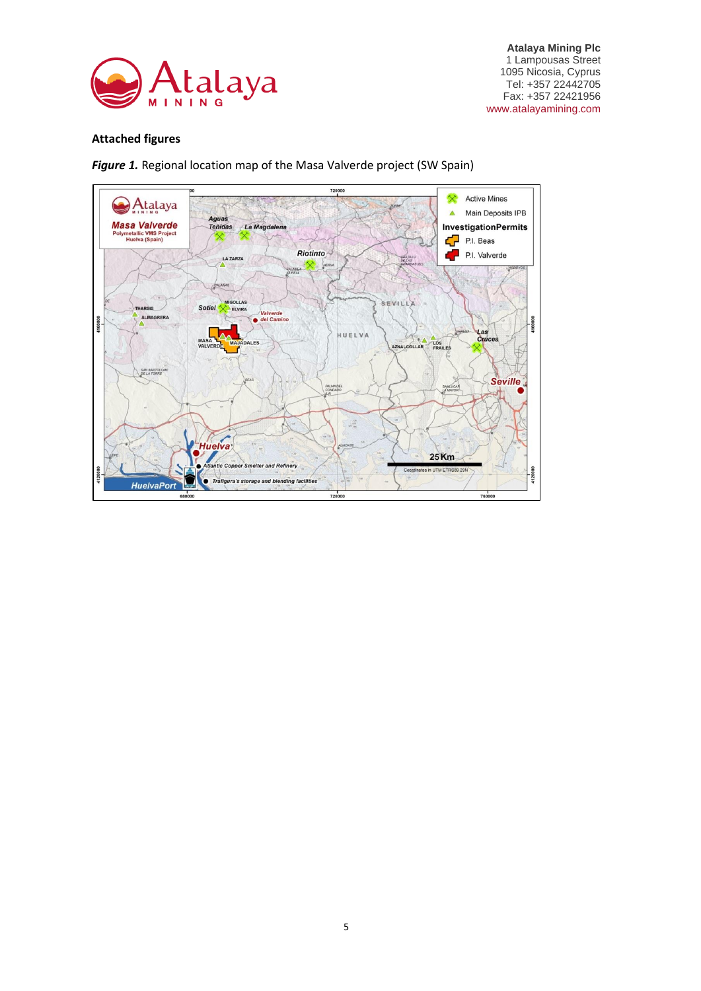

## **Attached figures**

*Figure 1.* Regional location map of the Masa Valverde project (SW Spain)

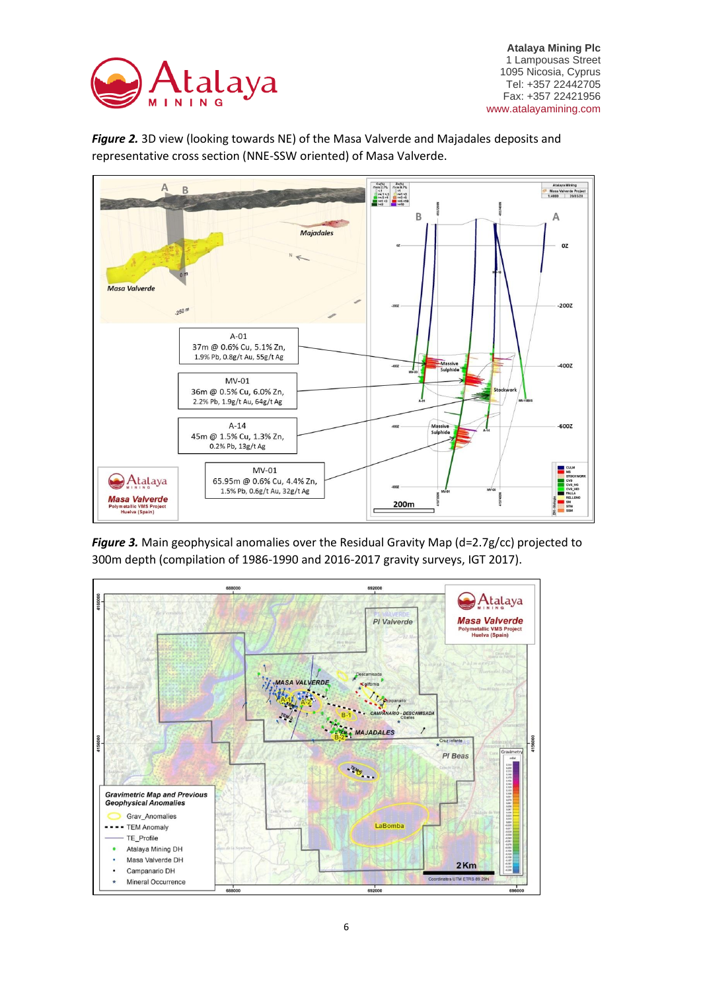



*Figure 2.* 3D view (looking towards NE) of the Masa Valverde and Majadales deposits and representative cross section (NNE-SSW oriented) of Masa Valverde.

*Figure 3.* Main geophysical anomalies over the Residual Gravity Map (d=2.7g/cc) projected to 300m depth (compilation of 1986-1990 and 2016-2017 gravity surveys, IGT 2017).

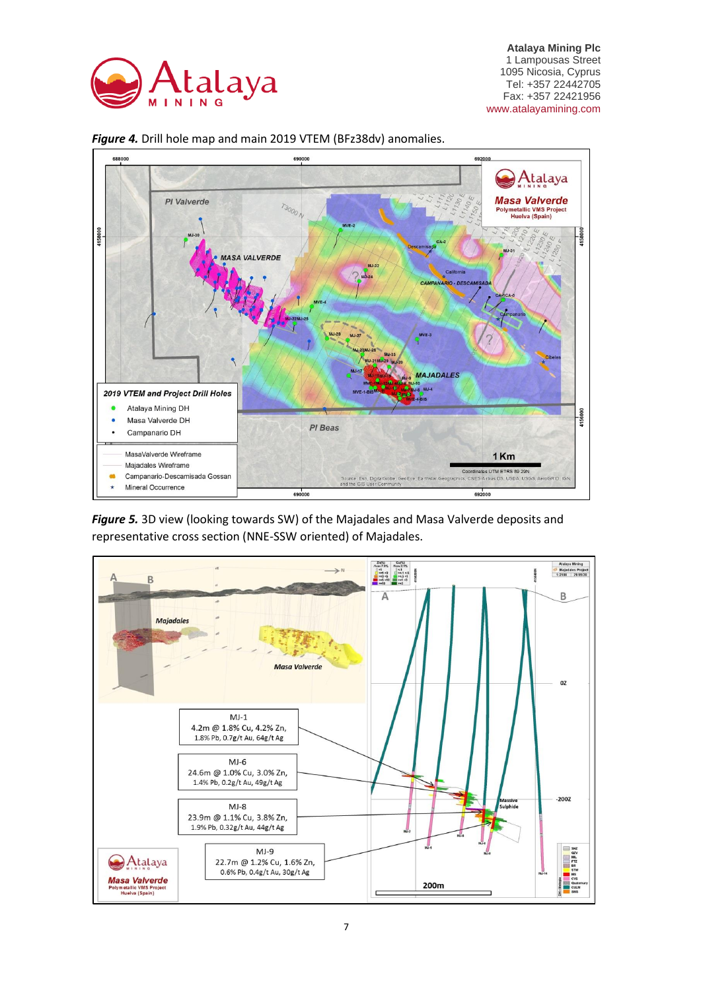





*Figure 5.* 3D view (looking towards SW) of the Majadales and Masa Valverde deposits and representative cross section (NNE-SSW oriented) of Majadales.